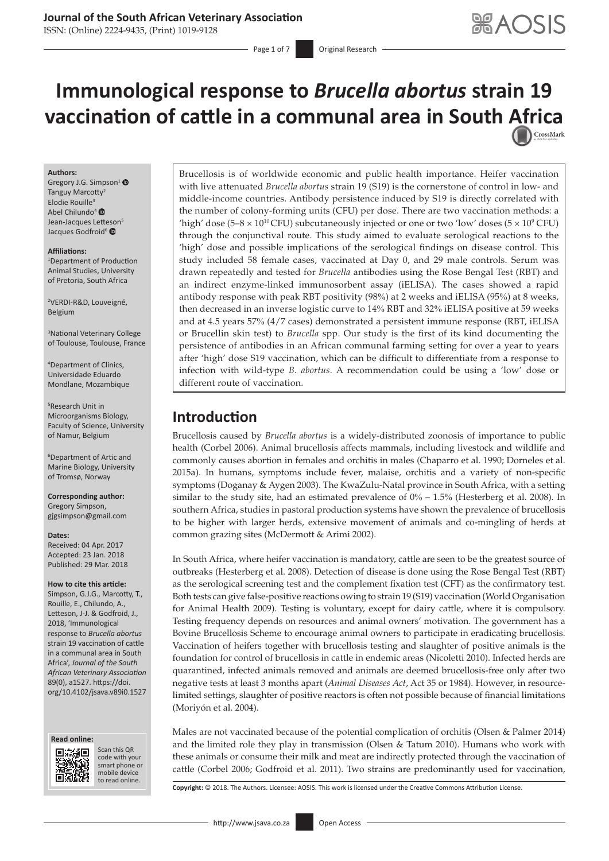## **Journal of the South African Veterinary Association**

ISSN: (Online) 2224-9435, (Print) 1019-9128

Page 1 of 7 **Original Research** 

# **Immunological response to** *Brucella abortus* **strain 19 vaccination of cattle in a communal area in South [Africa](http://crossmark.crossref.org/dialog/?doi=10.4102/jsava.v89i0.1527=pdf&date_stamp=2018-03-29)**

#### **Authors:**

Gregory J.G. Simpson<sup>1</sup> <sup>O</sup> Tanguy Marcotty<sup>2</sup> Elodie Rouille<sup>3</sup> Abel Chilundo<sup>[4](http://orcid.org/0000-0003-3207-5480)</sup> ® Jean-Jacques Lett[eson](http://orcid.org/0000-0002-0782-7858)<sup>5</sup> Jacques Godfroid<sup>6</sup>

#### **Affiliations:**

1 Department of Production Animal Studies, University of Pretoria, South Africa

2 VERDI-R&D, Louveigné, Belgium

3 National Veterinary College of Toulouse, Toulouse, France

4 Department of Clinics, Universidade Eduardo Mondlane, Mozambique

5 Research Unit in Microorganisms Biology, Faculty of Science, University of Namur, Belgium

6 Department of Artic and Marine Biology, University of Tromsø, Norway

**Corresponding author:** Gregory Simpson, [gjgsimpson@gmail.com](mailto:gjgsimpson@gmail.com)

#### **Dates:**

Received: 04 Apr. 2017 Accepted: 23 Jan. 2018 Published: 29 Mar. 2018

#### **How to cite this article:**

Simpson, G.J.G., Marcotty, T., Rouille, E., Chilundo, A., Letteson, J-J. & Godfroid, J., 2018, 'Immunological response to *Brucella abortus* strain 19 vaccination of cattle in a communal area in South Africa', *Journal of the South African Veterinary Association* 89(0), a1527. [https://doi.](https://doi.org/10.4102/jsava.v89i0.1527) [org/10.4102/jsava.v89i0.1527](https://doi.org/10.4102/jsava.v89i0.1527)





Scan this QR code with your Scan this QR<br>code with your<br>smart phone or<br>mobile device mobile device to read online. to read online.

Brucellosis is of worldwide economic and public health importance. Heifer vaccination with live attenuated *Brucella abortus* strain 19 (S19) is the cornerstone of control in low- and middle-income countries. Antibody persistence induced by S19 is directly correlated with the number of colony-forming units (CFU) per dose. There are two vaccination methods: a 'high' dose  $(5-8 \times 10^{10} \text{CFU})$  subcutaneously injected or one or two 'low' doses  $(5 \times 10^{9} \text{CFU})$ through the conjunctival route. This study aimed to evaluate serological reactions to the 'high' dose and possible implications of the serological findings on disease control. This study included 58 female cases, vaccinated at Day 0, and 29 male controls. Serum was drawn repeatedly and tested for *Brucella* antibodies using the Rose Bengal Test (RBT) and an indirect enzyme-linked immunosorbent assay (iELISA). The cases showed a rapid antibody response with peak RBT positivity (98%) at 2 weeks and iELISA (95%) at 8 weeks, then decreased in an inverse logistic curve to 14% RBT and 32% iELISA positive at 59 weeks and at 4.5 years 57% (4/7 cases) demonstrated a persistent immune response (RBT, iELISA or Brucellin skin test) to *Brucella* spp. Our study is the first of its kind documenting the persistence of antibodies in an African communal farming setting for over a year to years after 'high' dose S19 vaccination, which can be difficult to differentiate from a response to infection with wild-type *B. abortus*. A recommendation could be using a 'low' dose or different route of vaccination.

# **Introduction**

Brucellosis caused by *Brucella abortus* is a widely-distributed zoonosis of importance to public health (Corbel 2006). Animal brucellosis affects mammals, including livestock and wildlife and commonly causes abortion in females and orchitis in males (Chaparro et al. 1990; Dorneles et al. 2015a). In humans, symptoms include fever, malaise, orchitis and a variety of non-specific symptoms (Doganay & Aygen 2003). The KwaZulu-Natal province in South Africa, with a setting similar to the study site, had an estimated prevalence of 0% – 1.5% (Hesterberg et al. 2008). In southern Africa, studies in pastoral production systems have shown the prevalence of brucellosis to be higher with larger herds, extensive movement of animals and co-mingling of herds at common grazing sites (McDermott & Arimi 2002).

In South Africa, where heifer vaccination is mandatory, cattle are seen to be the greatest source of outbreaks (Hesterberg et al. 2008). Detection of disease is done using the Rose Bengal Test (RBT) as the serological screening test and the complement fixation test (CFT) as the confirmatory test. Both tests can give false-positive reactions owing to strain 19 (S19) vaccination (World Organisation for Animal Health 2009). Testing is voluntary, except for dairy cattle, where it is compulsory. Testing frequency depends on resources and animal owners' motivation. The government has a Bovine Brucellosis Scheme to encourage animal owners to participate in eradicating brucellosis. Vaccination of heifers together with brucellosis testing and slaughter of positive animals is the foundation for control of brucellosis in cattle in endemic areas (Nicoletti 2010). Infected herds are quarantined, infected animals removed and animals are deemed brucellosis-free only after two negative tests at least 3 months apart (*Animal Diseases Act*, Act 35 or 1984). However, in resourcelimited settings, slaughter of positive reactors is often not possible because of financial limitations (Moriyón et al. 2004).

Males are not vaccinated because of the potential complication of orchitis (Olsen & Palmer 2014) and the limited role they play in transmission (Olsen & Tatum 2010). Humans who work with these animals or consume their milk and meat are indirectly protected through the vaccination of cattle (Corbel 2006; Godfroid et al. 2011). Two strains are predominantly used for vaccination,

**Copyright:** © 2018. The Authors. Licensee: AOSIS. This work is licensed under the Creative Commons Attribution License.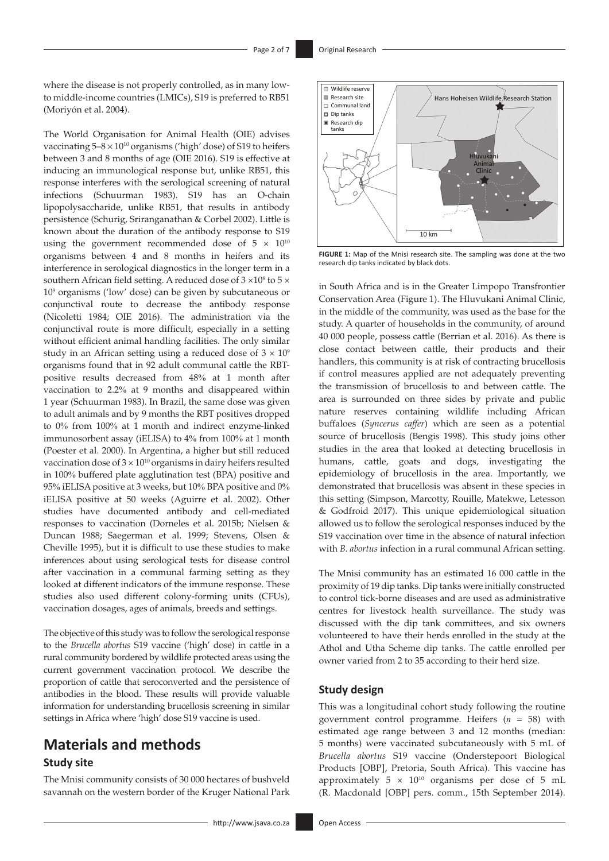where the disease is not properly controlled, as in many lowto middle-income countries (LMICs), S19 is preferred to RB51 (Moriyón et al. 2004).

The World Organisation for Animal Health (OIE) advises vaccinating  $5-8 \times 10^{10}$  organisms ('high' dose) of S19 to heifers between 3 and 8 months of age (OIE 2016). S19 is effective at inducing an immunological response but, unlike RB51, this response interferes with the serological screening of natural infections (Schuurman 1983). S19 has an O-chain lipopolysaccharide, unlike RB51, that results in antibody persistence (Schurig, Sriranganathan & Corbel 2002). Little is known about the duration of the antibody response to S19 using the government recommended dose of  $5 \times 10^{10}$ organisms between 4 and 8 months in heifers and its interference in serological diagnostics in the longer term in a southern African field setting. A reduced dose of  $3 \times 10^8$  to  $5 \times$ 109 organisms ('low' dose) can be given by subcutaneous or conjunctival route to decrease the antibody response (Nicoletti 1984; OIE 2016). The administration via the conjunctival route is more difficult, especially in a setting without efficient animal handling facilities. The only similar study in an African setting using a reduced dose of  $3 \times 10^9$ organisms found that in 92 adult communal cattle the RBTpositive results decreased from 48% at 1 month after vaccination to 2.2% at 9 months and disappeared within 1 year (Schuurman 1983). In Brazil, the same dose was given to adult animals and by 9 months the RBT positives dropped to 0% from 100% at 1 month and indirect enzyme-linked immunosorbent assay (iELISA) to 4% from 100% at 1 month (Poester et al. 2000). In Argentina, a higher but still reduced vaccination dose of  $3 \times 10^{10}$  organisms in dairy heifers resulted in 100% buffered plate agglutination test (BPA) positive and 95% iELISA positive at 3 weeks, but 10% BPA positive and 0% iELISA positive at 50 weeks (Aguirre et al. 2002). Other studies have documented antibody and cell-mediated responses to vaccination (Dorneles et al. 2015b; Nielsen & Duncan 1988; Saegerman et al. 1999; Stevens, Olsen & Cheville 1995), but it is difficult to use these studies to make inferences about using serological tests for disease control after vaccination in a communal farming setting as they looked at different indicators of the immune response. These studies also used different colony-forming units (CFUs), vaccination dosages, ages of animals, breeds and settings.

The objective of this study was to follow the serological response to the *Brucella abortus* S19 vaccine ('high' dose) in cattle in a rural community bordered by wildlife protected areas using the current government vaccination protocol. We describe the proportion of cattle that seroconverted and the persistence of antibodies in the blood. These results will provide valuable information for understanding brucellosis screening in similar settings in Africa where 'high' dose S19 vaccine is used.

# **Materials and methods**

### **Study site**

The Mnisi community consists of 30 000 hectares of bushveld savannah on the western border of the Kruger National Park



**FIGURE 1:** Map of the Mnisi research site. The sampling was done at the two research dip tanks indicated by black dots.

in South Africa and is in the Greater Limpopo Transfrontier Conservation Area (Figure 1). The Hluvukani Animal Clinic, in the middle of the community, was used as the base for the study. A quarter of households in the community, of around 40 000 people, possess cattle (Berrian et al. 2016). As there is close contact between cattle, their products and their handlers, this community is at risk of contracting brucellosis if control measures applied are not adequately preventing the transmission of brucellosis to and between cattle. The area is surrounded on three sides by private and public nature reserves containing wildlife including African buffaloes (*Syncerus caffer*) which are seen as a potential source of brucellosis (Bengis 1998). This study joins other studies in the area that looked at detecting brucellosis in humans, cattle, goats and dogs, investigating the epidemiology of brucellosis in the area. Importantly, we demonstrated that brucellosis was absent in these species in this setting (Simpson, Marcotty, Rouille, Matekwe, Letesson & Godfroid 2017). This unique epidemiological situation allowed us to follow the serological responses induced by the S19 vaccination over time in the absence of natural infection with *B. abortus* infection in a rural communal African setting.

The Mnisi community has an estimated 16 000 cattle in the proximity of 19 dip tanks. Dip tanks were initially constructed to control tick-borne diseases and are used as administrative centres for livestock health surveillance. The study was discussed with the dip tank committees, and six owners volunteered to have their herds enrolled in the study at the Athol and Utha Scheme dip tanks. The cattle enrolled per owner varied from 2 to 35 according to their herd size.

## **Study design**

This was a longitudinal cohort study following the routine government control programme. Heifers (*n* = 58) with estimated age range between 3 and 12 months (median: 5 months) were vaccinated subcutaneously with 5 mL of *Brucella abortus* S19 vaccine (Onderstepoort Biological Products [OBP], Pretoria, South Africa). This vaccine has approximately  $5 \times 10^{10}$  organisms per dose of 5 mL (R. Macdonald [OBP] pers. comm., 15th September 2014).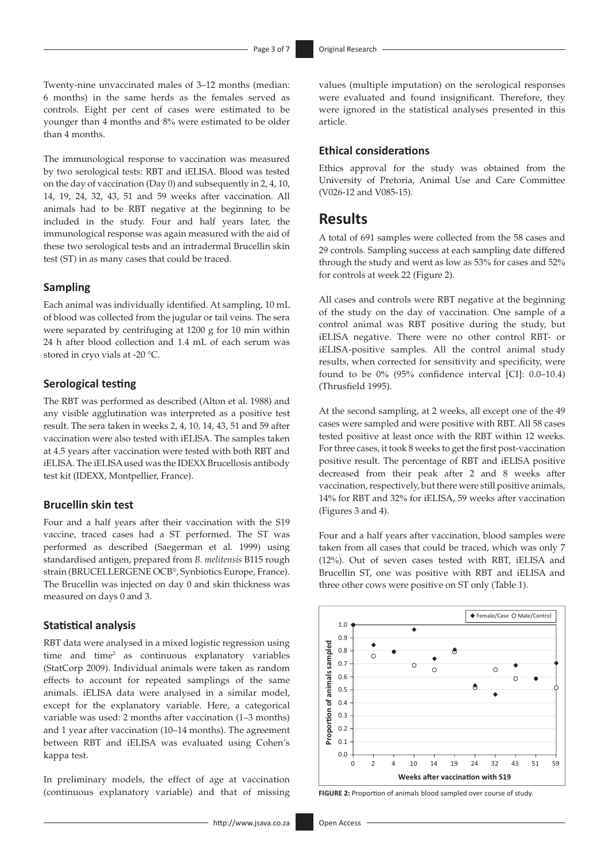Twenty-nine unvaccinated males of 3–12 months (median: 6 months) in the same herds as the females served as controls. Eight per cent of cases were estimated to be younger than 4 months and 8% were estimated to be older than 4 months.

The immunological response to vaccination was measured by two serological tests: RBT and iELISA. Blood was tested on the day of vaccination (Day 0) and subsequently in 2, 4, 10, 14, 19, 24, 32, 43, 51 and 59 weeks after vaccination. All animals had to be RBT negative at the beginning to be included in the study. Four and half years later, the immunological response was again measured with the aid of these two serological tests and an intradermal Brucellin skin test (ST) in as many cases that could be traced.

#### **Sampling**

Each animal was individually identified. At sampling, 10 mL of blood was collected from the jugular or tail veins. The sera were separated by centrifuging at 1200 g for 10 min within 24 h after blood collection and 1.4 mL of each serum was stored in cryo vials at -20 °C.

### **Serological testing**

The RBT was performed as described (Alton et al. 1988) and any visible agglutination was interpreted as a positive test result. The sera taken in weeks 2, 4, 10, 14, 43, 51 and 59 after vaccination were also tested with iELISA. The samples taken at 4.5 years after vaccination were tested with both RBT and iELISA. The iELISA used was the IDEXX Brucellosis antibody test kit (IDEXX, Montpellier, France).

#### **Brucellin skin test**

Four and a half years after their vaccination with the S19 vaccine, traced cases had a ST performed. The ST was performed as described (Saegerman et al. 1999) using standardised antigen, prepared from *B. melitensis* B115 rough strain (BRUCELLERGENE OCB®, Synbiotics Europe, France). The Brucellin was injected on day 0 and skin thickness was measured on days 0 and 3.

#### **Statistical analysis**

RBT data were analysed in a mixed logistic regression using time and time<sup>2</sup> as continuous explanatory variables (StatCorp 2009). Individual animals were taken as random effects to account for repeated samplings of the same animals. iELISA data were analysed in a similar model, except for the explanatory variable. Here, a categorical variable was used: 2 months after vaccination (1–3 months) and 1 year after vaccination (10–14 months). The agreement between RBT and iELISA was evaluated using Cohen's kappa test.

In preliminary models, the effect of age at vaccination (continuous explanatory variable) and that of missing

values (multiple imputation) on the serological responses were evaluated and found insignificant. Therefore, they were ignored in the statistical analyses presented in this article.

## **Ethical considerations**

Ethics approval for the study was obtained from the University of Pretoria, Animal Use and Care Committee (V026-12 and V085-15).

## **Results**

A total of 691 samples were collected from the 58 cases and 29 controls. Sampling success at each sampling date differed through the study and went as low as 53% for cases and 52% for controls at week 22 (Figure 2).

All cases and controls were RBT negative at the beginning of the study on the day of vaccination. One sample of a control animal was RBT positive during the study, but iELISA negative. There were no other control RBT- or iELISA-positive samples. All the control animal study results, when corrected for sensitivity and specificity, were found to be 0% (95% confidence interval [CI]: 0.0–10.4) (Thrusfield 1995).

At the second sampling, at 2 weeks, all except one of the 49 cases were sampled and were positive with RBT. All 58 cases tested positive at least once with the RBT within 12 weeks. For three cases, it took 8 weeks to get the first post-vaccination positive result. The percentage of RBT and iELISA positive decreased from their peak after 2 and 8 weeks after vaccination, respectively, but there were still positive animals, 14% for RBT and 32% for iELISA, 59 weeks after vaccination (Figures 3 and 4).

Four and a half years after vaccination, blood samples were taken from all cases that could be traced, which was only 7 (12%). Out of seven cases tested with RBT, iELISA and Brucellin ST, one was positive with RBT and iELISA and three other cows were positive on ST only (Table 1).



**FIGURE 2:** Proportion of animals blood sampled over course of study.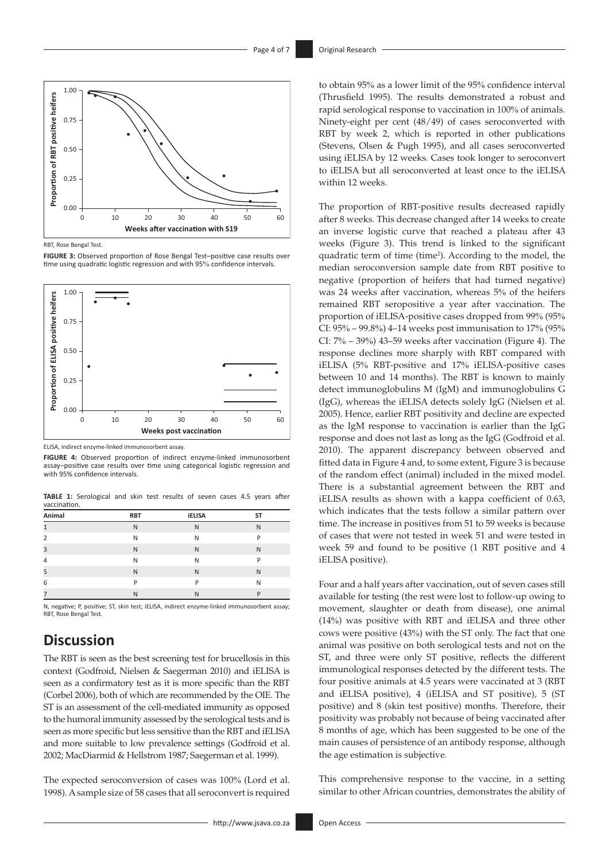

RBT, Rose Bengal Test.

**FIGURE 3:** Observed proportion of Rose Bengal Test–positive case results over time using quadratic logistic regression and with 95% confidence intervals.



ELISA, indirect enzyme-linked immunosorbent assay.

**FIGURE 4:** Observed proportion of indirect enzyme-linked immunosorbent assay–positive case results over time using categorical logistic regression and with 95% confidence intervals.

| Animal         | <b>RBT</b> | <b>iELISA</b> | ST |
|----------------|------------|---------------|----|
| 1              | N          | N             | N  |
| $\overline{2}$ | N          | N             | P  |
| 3              | N          | N             | N  |
| $\overline{4}$ | N          | N             | D  |
| 5              | N          | N             | N  |
| 6              | D          | P             | N  |
| 7              | N          | N             | D  |

**TABLE 1:** Serological and skin test results of seven cases 4.5 years after vaccination.

N, negative; P, positive; ST, skin test; iELISA, indirect enzyme-linked immunosorbent assay; RBT, Rose Bengal Test.

# **Discussion**

The RBT is seen as the best screening test for brucellosis in this context (Godfroid, Nielsen & Saegerman 2010) and iELISA is seen as a confirmatory test as it is more specific than the RBT (Corbel 2006), both of which are recommended by the OIE. The ST is an assessment of the cell-mediated immunity as opposed to the humoral immunity assessed by the serological tests and is seen as more specific but less sensitive than the RBT and iELISA and more suitable to low prevalence settings (Godfroid et al. 2002; MacDiarmid & Hellstrom 1987; Saegerman et al. 1999).

The expected seroconversion of cases was 100% (Lord et al. 1998). A sample size of 58 cases that all seroconvert is required to obtain 95% as a lower limit of the 95% confidence interval (Thrusfield 1995). The results demonstrated a robust and rapid serological response to vaccination in 100% of animals. Ninety-eight per cent (48/49) of cases seroconverted with RBT by week 2, which is reported in other publications (Stevens, Olsen & Pugh 1995), and all cases seroconverted using iELISA by 12 weeks. Cases took longer to seroconvert to iELISA but all seroconverted at least once to the iELISA within 12 weeks.

The proportion of RBT-positive results decreased rapidly after 8 weeks. This decrease changed after 14 weeks to create an inverse logistic curve that reached a plateau after 43 weeks (Figure 3). This trend is linked to the significant quadratic term of time (time<sup>2</sup>). According to the model, the median seroconversion sample date from RBT positive to negative (proportion of heifers that had turned negative) was 24 weeks after vaccination, whereas 5% of the heifers remained RBT seropositive a year after vaccination. The proportion of iELISA-positive cases dropped from 99% (95% CI: 95% – 99.8%) 4–14 weeks post immunisation to 17% (95% CI: 7% – 39%) 43–59 weeks after vaccination (Figure 4). The response declines more sharply with RBT compared with iELISA (5% RBT-positive and 17% iELISA-positive cases between 10 and 14 months). The RBT is known to mainly detect immunoglobulins M (IgM) and immunoglobulins G (IgG), whereas the iELISA detects solely IgG (Nielsen et al. 2005). Hence, earlier RBT positivity and decline are expected as the IgM response to vaccination is earlier than the IgG response and does not last as long as the IgG (Godfroid et al. 2010). The apparent discrepancy between observed and fitted data in Figure 4 and, to some extent, Figure 3 is because of the random effect (animal) included in the mixed model. There is a substantial agreement between the RBT and iELISA results as shown with a kappa coefficient of 0.63, which indicates that the tests follow a similar pattern over time. The increase in positives from 51 to 59 weeks is because of cases that were not tested in week 51 and were tested in week 59 and found to be positive (1 RBT positive and 4 iELISA positive).

Four and a half years after vaccination, out of seven cases still available for testing (the rest were lost to follow-up owing to movement, slaughter or death from disease), one animal (14%) was positive with RBT and iELISA and three other cows were positive (43%) with the ST only. The fact that one animal was positive on both serological tests and not on the ST, and three were only ST positive, reflects the different immunological responses detected by the different tests. The four positive animals at 4.5 years were vaccinated at 3 (RBT and iELISA positive), 4 (iELISA and ST positive), 5 (ST positive) and 8 (skin test positive) months. Therefore, their positivity was probably not because of being vaccinated after 8 months of age, which has been suggested to be one of the main causes of persistence of an antibody response, although the age estimation is subjective.

This comprehensive response to the vaccine, in a setting similar to other African countries, demonstrates the ability of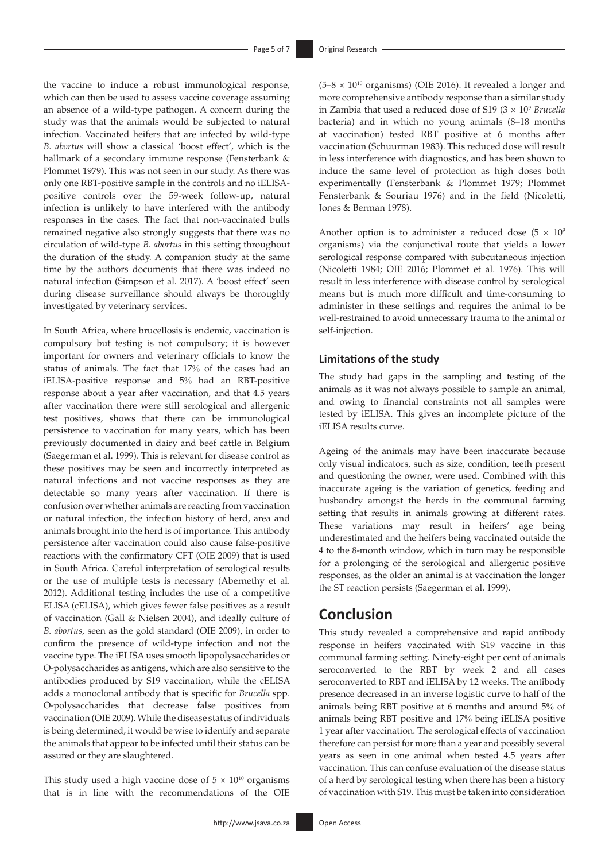the vaccine to induce a robust immunological response, which can then be used to assess vaccine coverage assuming an absence of a wild-type pathogen. A concern during the study was that the animals would be subjected to natural infection. Vaccinated heifers that are infected by wild-type *B. abortus* will show a classical 'boost effect', which is the hallmark of a secondary immune response (Fensterbank & Plommet 1979). This was not seen in our study. As there was only one RBT-positive sample in the controls and no iELISApositive controls over the 59-week follow-up, natural infection is unlikely to have interfered with the antibody responses in the cases. The fact that non-vaccinated bulls remained negative also strongly suggests that there was no circulation of wild-type *B. abortus* in this setting throughout the duration of the study. A companion study at the same time by the authors documents that there was indeed no natural infection (Simpson et al. 2017). A 'boost effect' seen during disease surveillance should always be thoroughly investigated by veterinary services.

In South Africa, where brucellosis is endemic, vaccination is compulsory but testing is not compulsory; it is however important for owners and veterinary officials to know the status of animals. The fact that 17% of the cases had an iELISA-positive response and 5% had an RBT-positive response about a year after vaccination, and that 4.5 years after vaccination there were still serological and allergenic test positives, shows that there can be immunological persistence to vaccination for many years, which has been previously documented in dairy and beef cattle in Belgium (Saegerman et al. 1999). This is relevant for disease control as these positives may be seen and incorrectly interpreted as natural infections and not vaccine responses as they are detectable so many years after vaccination. If there is confusion over whether animals are reacting from vaccination or natural infection, the infection history of herd, area and animals brought into the herd is of importance. This antibody persistence after vaccination could also cause false-positive reactions with the confirmatory CFT (OIE 2009) that is used in South Africa. Careful interpretation of serological results or the use of multiple tests is necessary (Abernethy et al. 2012). Additional testing includes the use of a competitive ELISA (cELISA), which gives fewer false positives as a result of vaccination (Gall & Nielsen 2004), and ideally culture of *B. abortus*, seen as the gold standard (OIE 2009), in order to confirm the presence of wild-type infection and not the vaccine type. The iELISA uses smooth lipopolysaccharides or O-polysaccharides as antigens, which are also sensitive to the antibodies produced by S19 vaccination, while the cELISA adds a monoclonal antibody that is specific for *Brucella* spp. O-polysaccharides that decrease false positives from vaccination (OIE 2009). While the disease status of individuals is being determined, it would be wise to identify and separate the animals that appear to be infected until their status can be assured or they are slaughtered.

This study used a high vaccine dose of  $5 \times 10^{10}$  organisms that is in line with the recommendations of the OIE  $(5-8 \times 10^{10} \text{ organisms})$  (OIE 2016). It revealed a longer and more comprehensive antibody response than a similar study in Zambia that used a reduced dose of S19 (3 × 109 *Brucella* bacteria) and in which no young animals (8–18 months at vaccination) tested RBT positive at 6 months after vaccination (Schuurman 1983). This reduced dose will result in less interference with diagnostics, and has been shown to induce the same level of protection as high doses both experimentally (Fensterbank & Plommet 1979; Plommet Fensterbank & Souriau 1976) and in the field (Nicoletti, Jones & Berman 1978).

Another option is to administer a reduced dose (5  $\times$  10<sup>9</sup>) organisms) via the conjunctival route that yields a lower serological response compared with subcutaneous injection (Nicoletti 1984; OIE 2016; Plommet et al. 1976). This will result in less interference with disease control by serological means but is much more difficult and time-consuming to administer in these settings and requires the animal to be well-restrained to avoid unnecessary trauma to the animal or self-injection.

#### **Limitations of the study**

The study had gaps in the sampling and testing of the animals as it was not always possible to sample an animal, and owing to financial constraints not all samples were tested by iELISA. This gives an incomplete picture of the iELISA results curve.

Ageing of the animals may have been inaccurate because only visual indicators, such as size, condition, teeth present and questioning the owner, were used. Combined with this inaccurate ageing is the variation of genetics, feeding and husbandry amongst the herds in the communal farming setting that results in animals growing at different rates. These variations may result in heifers' age being underestimated and the heifers being vaccinated outside the 4 to the 8-month window, which in turn may be responsible for a prolonging of the serological and allergenic positive responses, as the older an animal is at vaccination the longer the ST reaction persists (Saegerman et al. 1999).

## **Conclusion**

This study revealed a comprehensive and rapid antibody response in heifers vaccinated with S19 vaccine in this communal farming setting. Ninety-eight per cent of animals seroconverted to the RBT by week 2 and all cases seroconverted to RBT and iELISA by 12 weeks. The antibody presence decreased in an inverse logistic curve to half of the animals being RBT positive at 6 months and around 5% of animals being RBT positive and 17% being iELISA positive 1 year after vaccination. The serological effects of vaccination therefore can persist for more than a year and possibly several years as seen in one animal when tested 4.5 years after vaccination. This can confuse evaluation of the disease status of a herd by serological testing when there has been a history of vaccination with S19. This must be taken into consideration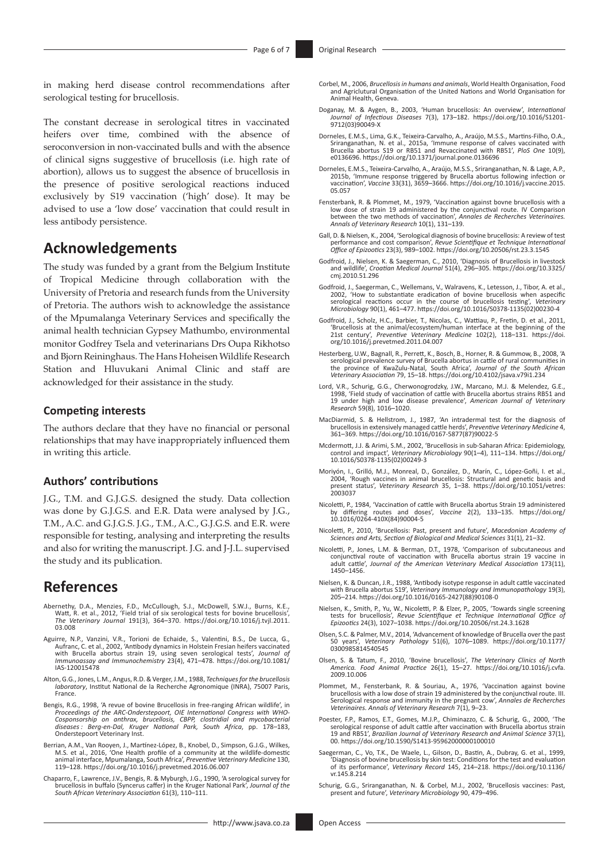in making herd disease control recommendations after serological testing for brucellosis.

The constant decrease in serological titres in vaccinated heifers over time, combined with the absence of seroconversion in non-vaccinated bulls and with the absence of clinical signs suggestive of brucellosis (i.e. high rate of abortion), allows us to suggest the absence of brucellosis in the presence of positive serological reactions induced exclusively by S19 vaccination ('high' dose). It may be advised to use a 'low dose' vaccination that could result in less antibody persistence.

## **Acknowledgements**

The study was funded by a grant from the Belgium Institute of Tropical Medicine through collaboration with the University of Pretoria and research funds from the University of Pretoria. The authors wish to acknowledge the assistance of the Mpumalanga Veterinary Services and specifically the animal health technician Gypsey Mathumbo, environmental monitor Godfrey Tsela and veterinarians Drs Oupa Rikhotso and Bjorn Reininghaus. The Hans Hoheisen Wildlife Research Station and Hluvukani Animal Clinic and staff are acknowledged for their assistance in the study.

#### **Competing interests**

The authors declare that they have no financial or personal relationships that may have inappropriately influenced them in writing this article.

#### **Authors' contributions**

J.G., T.M. and G.J.G.S. designed the study. Data collection was done by G.J.G.S. and E.R. Data were analysed by J.G., T.M., A.C. and G.J.G.S. J.G., T.M., A.C., G.J.G.S. and E.R. were responsible for testing, analysing and interpreting the results and also for writing the manuscript. J.G. and J-J.L. supervised the study and its publication.

## **References**

- Abernethy, D.A., Menzies, F.D., McCullough, S.J., McDowell, S.W.J., Burns, K.E., Watt, R. et al., 2012, 'Field trial of six serological tests for bovine brucellosis', *The Veterinary Journal* 191(3), 364–370. [https://doi.org/10.1016/j.tvjl.2011.](https://doi.org/10.1016/j.tvjl.2011.03.008) [03.008](https://doi.org/10.1016/j.tvjl.2011.03.008)
- Aguirre, N.P., Vanzini, V.R., Torioni de Echaide, S., Valentini, B.S., De Lucca, G., Aufranc, C. et al., 2002, 'Antibody dynamics in Holstein Fresian heifers vaccinated with Brucella abortus strain 19, using seven serological tests', *Journal of Immunoassay and Immunochemistry* 23(4), 471–478. [https://doi.org/10.1081/](https://doi.org/10.1081/IAS-120015478) [IAS-120015478](https://doi.org/10.1081/IAS-120015478)
- Alton, G.G., Jones, L.M., Angus, R.D. & Verger, J.M., 1988, *Techniques for the brucellosis laboratory*, Institut National de la Recherche Agronomique (INRA), 75007 Paris, France.
- Bengis, R.G., 1998, 'A revue of bovine Brucellosis in free-ranging African wildlife', in *Proceedings of the ARC-Onderstepoort, OIE International Congress with WHO-*Cosponsorship on anthrax, brucellosis, CBPP, clostridial and mycobacterial<br>diseases : Berg-en-Dal, Kruger National Park, South Africa, pp. 178–183,<br>Onderstepoort Veterinary Inst.
- Berrian, A.M., Van Rooyen, J., Martínez-López, B., Knobel, D., Simpson, G.J.G., Wilkes, M.S. et al., 2016, 'One Health profile of a community at the wildlife-domestic<br>animal interface, Mpumalanga, South Afric*a', Preventive Veterinary Medicine* 130,<br>119–128. <https://doi.org/10.1016/j.prevetmed.2016.06.007>
- Chaparro, F., Lawrence, J.V., Bengis, R. & Myburgh, J.G., 1990, 'A serological survey for brucellosis in buffalo (Syncerus caffer) in the Kruger National Park', *Journal of the South African Veterinary Association* 61(3), 110–111.
- Corbel, M., 2006, *Brucellosis in humans and animals*, World Health Organisation, Food and Agriclutural Organisation of the United Nations and World Organisation for Animal Health, Geneva.
- Doganay, M. & Aygen, B., 2003, 'Human brucellosis: An overview', *International Journal of Infectious Diseases* 7(3), 173–182. [https://doi.org/10.1016/S1201-](https://doi.org/10.1016/S1201-9712(03)90049-X) [9712\(03\)90049-X](https://doi.org/10.1016/S1201-9712(03)90049-X)
- Dorneles, E.M.S., Lima, G.K., Teixeira-Carvalho, A., Araújo, M.S.S., Martins-Filho, O.A.,<br>Sriranganathan, N. et al., 2015a, 'Immune response of calves vaccinated with<br>Brucella abortus S19 or RB51 and Revaccinated with RB51 e0136696. <https://doi.org/10.1371/journal.pone.0136696>
- Dorneles, E.M.S., Teixeira-Carvalho, A., Araújo, M.S.S., Sriranganathan, N. & Lage, A.P., 2015b, 'Immune response triggered by Brucella abortus following infection or vaccination', *Vaccine* 33(31), 3659–3666. [https://doi.org/10.1016/j.vaccine.2015.](https://doi.org/10.1016/j.vaccine.2015.05.057) [05.057](https://doi.org/10.1016/j.vaccine.2015.05.057)
- Fensterbank, R. & Plommet, M., 1979, 'Vaccination against bovne brucellosis with a low dose of strain 19 administered by the conjunctival route. IV Comparison between the two methods of vaccination', *Annales de Recherches Veterinaires. Annals of Veterinary Research* 10(1), 131–139.
- Gall, D. & Nielsen, K., 2004, 'Serological diagnosis of bovine brucellosis: A review of test performance and cost comparison', *Revue Scientifique et Technique International Office of Epizootics* 23(3), 989–1002. <https://doi.org/10.20506/rst.23.3.1545>
- Godfroid, J., Nielsen, K. & Saegerman, C., 2010, 'Diagnosis of Brucellosis in livestock and wildlife', *Croatian Medical Journal* 51(4), 296–305. [https://doi.org/10.3325/](https://doi.org/10.3325/cmj.2010.51.296) [cmj.2010.51.296](https://doi.org/10.3325/cmj.2010.51.296)
- Godfroid, J., Saegerman, C., Wellemans, V., Walravens, K., Letesson, J., Tibor, A. et al., 2002, 'How to substantiate eradication of bovine brucellosis when aspecific serological reactions occur in the course of brucellosis testing', *Veterinary Microbiology* 90(1), 461–477. [https://doi.org/10.1016/S0378-1135\(02\)00230-4](https://doi.org/10.1016/S0378-1135(02)00230-4)
- Godfroid, J., Scholz, H.C., Barbier, T., Nicolas, C., Wattiau, P., Fretin, D. et al., 2011, 'Brucellosis at the animal/ecosystem/human interface at the beginning of the 21st century', *Preventive Veterinary Medicine* 102(2), 118–131. [https://doi.](https://doi.org/10.1016/j.prevetmed.2011.04.007) [org/10.1016/j.prevetmed.2011.04.007](https://doi.org/10.1016/j.prevetmed.2011.04.007)
- Hesterberg, U.W., Bagnall, R., Perrett, K., Bosch, B., Horner, R. & Gummow, B., 2008, 'A serological prevalence survey of Brucella abortus in cattle of rural communities in<br>the province of KwaZulu-Natal, South Africa', Journal of the South African<br>Veterinary Association 79, 15–18. https://doi.org/10.
- Lord, V.R., Schurig, G.G., Cherwonogrodzky, J.W., Marcano, M.J. & Melendez, G.E., 1998, 'Field study of vaccination of cattle with Brucella abortus strains RB51 and 19 under high and low disease prevalence', *American Journal of Veterinary Research* 59(8), 1016–1020.
- MacDiarmid, S. & Hellstrom, J., 1987, 'An intradermal test for the diagnosis of brucellosis in extensively managed cattle herds', *Preventive Veterinary Medicine* 4, 361–369. [https://doi.org/10.1016/0167-5877\(87\)90022-5](https://doi.org/10.1016/0167-5877(87)90022-5)
- Mcdermott, J.J. & Arimi, S.M., 2002, 'Brucellosis in sub-Saharan Africa: Epidemiology, control and impact', *Veterinary Microbiology* 90(1–4), 111–134. [https://doi.org/](https://doi.org/10.1016/S0378-1135(02)00249-3) [10.1016/S0378-1135\(02\)00249-3](https://doi.org/10.1016/S0378-1135(02)00249-3)
- Moriyón, I., Grilló, M.J., Monreal, D., González, D., Marín, C., López-Goñi, I. et al., 2004, 'Rough vaccines in animal brucellosis: Structural and genetic basis and present status', *Veterinary Research* 35, 1–38. [https://doi.org/10.1051/vetres:](https://doi.org/10.1051/vetres:2003037) [2003037](https://doi.org/10.1051/vetres:2003037)
- Nicoletti, P., 1984, 'Vaccination of cattle with Brucella abortus Strain 19 administered by differing routes and doses', *Vaccine* 2(2), 133–135. [https://doi.org/](https://doi.org/10.1016/0264-410X(84)90004-5) by differing routes and dos<br>[10.1016/0264-410X\(84\)90004-5](https://doi.org/10.1016/0264-410X(84)90004-5)
- Nicoletti, P., 2010, 'Brucellosis: Past, present and future', *Macedonian Academy of Sciences and Arts, Section of Biological and Medical Sciences* 31(1), 21–32.
- Nicoletti, P., Jones, L.M. & Berman, D.T., 1978, 'Comparison of subcutaneous and conjunctival route of vaccination with Brucella abortus strain 19 vaccine in adult cattle', *Journal of the American Veterinary Medical Association* 173(11), 1450–1456.
- Nielsen, K. & Duncan, J.R., 1988, 'Antibody isotype response in adult cattle vaccinated with Brucella abortus S19', *Veterinary Immunology and Immunopathology* 19(3), 205–214. [https://doi.org/10.1016/0165-2427\(88\)90108-0](https://doi.org/10.1016/0165-2427(88)90108-0)
- Nielsen, K., Smith, P., Yu, W., Nicoletti, P. & Elzer, P., 2005, 'Towards single screening tests for brucellosis', *Revue Scientifique et Technique International Office of Epizootics* 24(3), 1027–1038.<https://doi.org/10.20506/rst.24.3.1628>
- Olsen, S.C. & Palmer, M.V., 2014, 'Advancement of knowledge of Brucella over the past 50 years', *Veterinary Pathology* 51(6), 1076–1089. [https://doi.org/10.1177/](https://doi.org/10.1177/0300985814540545) [0300985814540545](https://doi.org/10.1177/0300985814540545)
- Olsen, S. & Tatum, F., 2010, 'Bovine brucellosis', *The Veterinary Clinics of North America. Food Animal Practice* 26(1), 15–27. [https://doi.org/10.1016/j.cvfa.](https://doi.org/10.1016/j.cvfa.2009.10.006) [2009.10.006](https://doi.org/10.1016/j.cvfa.2009.10.006)
- Plommet, M., Fensterbank, R. & Souriau, A., 1976, 'Vaccination against bovine brucellosis with a low dose of strain 19 administered by the conjunctival route. III. Serological response and immunity in the pregnant cow', *Annales de Recherches Veterinaires. Annals of Veterinary Research* 7(1), 9–23.
- Poester, F.P., Ramos, E.T., Gomes, M.J.P., Chiminazzo, C. & Schurig, G., 2000, 'The serological response of adult cattle after vaccination with Brucella abortus strain 19 and RB51', *Brazilian Journal of Veterinary Research and Animal Science* 37(1), 00. <https://doi.org/10.1590/S1413-95962000000100010>
- Saegerman, C., Vo, T.K., De Waele, L., Gilson, D., Bastin, A., Dubray, G. et al., 1999, 'Diagnosis of bovine brucellosis by skin test: Conditions for the test and evaluation of its performance', *Veterinary Record* 145, 214–218. [https://doi.org/10.1136/](https://doi.org/10.1136/vr.145.8.214) [vr.145.8.214](https://doi.org/10.1136/vr.145.8.214)
- Schurig, G.G., Sriranganathan, N. & Corbel, M.J., 2002, 'Brucellosis vaccines: Past, present and future', *Veterinary Microbiology* 90, 479–496.